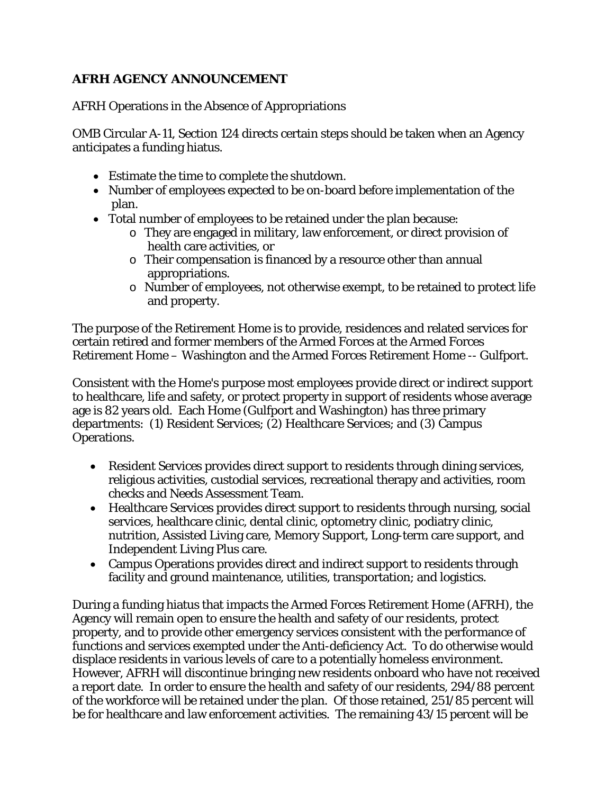## **AFRH AGENCY ANNOUNCEMENT**

AFRH Operations in the Absence of Appropriations

OMB Circular A-11, Section 124 directs certain steps should be taken when an Agency anticipates a funding hiatus.

- Estimate the time to complete the shutdown.
- Number of employees expected to be on-board before implementation of the plan.
- Total number of employees to be retained under the plan because:
	- $\circ$  They are engaged in military, law enforcement, or direct provision of health care activities, or
	- $\circ$  Their compensation is financed by a resource other than annual appropriations.
	- o Number of employees, not otherwise exempt, to be retained to protect life and property.

The purpose of the Retirement Home is to provide, residences and related services for certain retired and former members of the Armed Forces at the Armed Forces Retirement Home – Washington and the Armed Forces Retirement Home -- Gulfport.

Consistent with the Home's purpose most employees provide direct or indirect support to healthcare, life and safety, or protect property in support of residents whose average age is 82 years old. Each Home (Gulfport and Washington) has three primary departments: (1) Resident Services; (2) Healthcare Services; and (3) Campus Operations.

- Resident Services provides direct support to residents through dining services, religious activities, custodial services, recreational therapy and activities, room checks and Needs Assessment Team.
- Healthcare Services provides direct support to residents through nursing, social services, healthcare clinic, dental clinic, optometry clinic, podiatry clinic, nutrition, Assisted Living care, Memory Support, Long-term care support, and Independent Living Plus care.
- Campus Operations provides direct and indirect support to residents through facility and ground maintenance, utilities, transportation; and logistics.

During a funding hiatus that impacts the Armed Forces Retirement Home (AFRH), the Agency will remain open to ensure the health and safety of our residents, protect property, and to provide other emergency services consistent with the performance of functions and services exempted under the Anti-deficiency Act. To do otherwise would displace residents in various levels of care to a potentially homeless environment. However, AFRH will discontinue bringing new residents onboard who have not received a report date. In order to ensure the health and safety of our residents, 294/88 percent of the workforce will be retained under the plan. Of those retained, 251/85 percent will be for healthcare and law enforcement activities. The remaining 43/15 percent will be